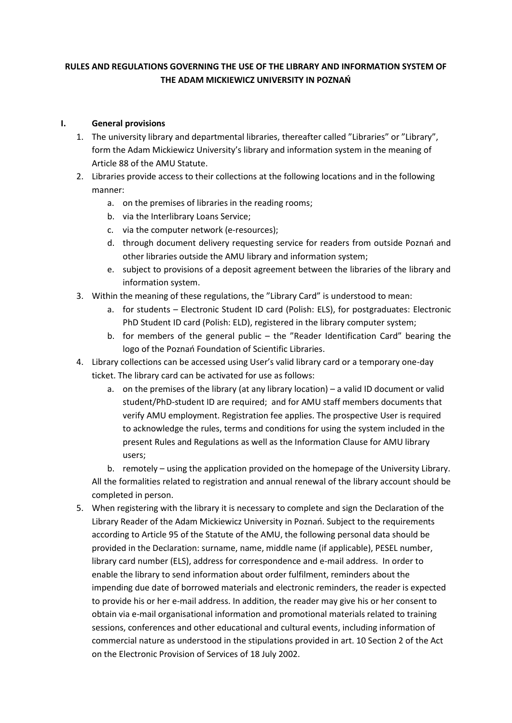# **RULES AND REGULATIONS GOVERNING THE USE OF THE LIBRARY AND INFORMATION SYSTEM OF THE ADAM MICKIEWICZ UNIVERSITY IN POZNAŃ**

# **I. General provisions**

- 1. The university library and departmental libraries, thereafter called "Libraries" or "Library", form the Adam Mickiewicz University's library and information system in the meaning of Article 88 of the AMU Statute.
- 2. Libraries provide access to their collections at the following locations and in the following manner:
	- a. on the premises of libraries in the reading rooms;
	- b. via the Interlibrary Loans Service;
	- c. via the computer network (e-resources);
	- d. through document delivery requesting service for readers from outside Poznań and other libraries outside the AMU library and information system;
	- e. subject to provisions of a deposit agreement between the libraries of the library and information system.
- 3. Within the meaning of these regulations, the "Library Card" is understood to mean:
	- a. for students Electronic Student ID card (Polish: ELS), for postgraduates: Electronic PhD Student ID card (Polish: ELD), registered in the library computer system;
	- b. for members of the general public the "Reader Identification Card" bearing the logo of the Poznań Foundation of Scientific Libraries.
- 4. Library collections can be accessed using User's valid library card or a temporary one-day ticket. The library card can be activated for use as follows:
	- a. on the premises of the library (at any library location) a valid ID document or valid student/PhD-student ID are required; and for AMU staff members documents that verify AMU employment. Registration fee applies. The prospective User is required to acknowledge the rules, terms and conditions for using the system included in the present Rules and Regulations as well as the Information Clause for AMU library users;

b. remotely – using the application provided on the homepage of the University Library. All the formalities related to registration and annual renewal of the library account should be completed in person.

5. When registering with the library it is necessary to complete and sign the Declaration of the Library Reader of the Adam Mickiewicz University in Poznań. Subject to the requirements according to Article 95 of the Statute of the AMU, the following personal data should be provided in the Declaration: surname, name, middle name (if applicable), PESEL number, library card number (ELS), address for correspondence and e-mail address. In order to enable the library to send information about order fulfilment, reminders about the impending due date of borrowed materials and electronic reminders, the reader is expected to provide his or her e-mail address. In addition, the reader may give his or her consent to obtain via e-mail organisational information and promotional materials related to training sessions, conferences and other educational and cultural events, including information of commercial nature as understood in the stipulations provided in art. 10 Section 2 of the Act on the Electronic Provision of Services of 18 July 2002.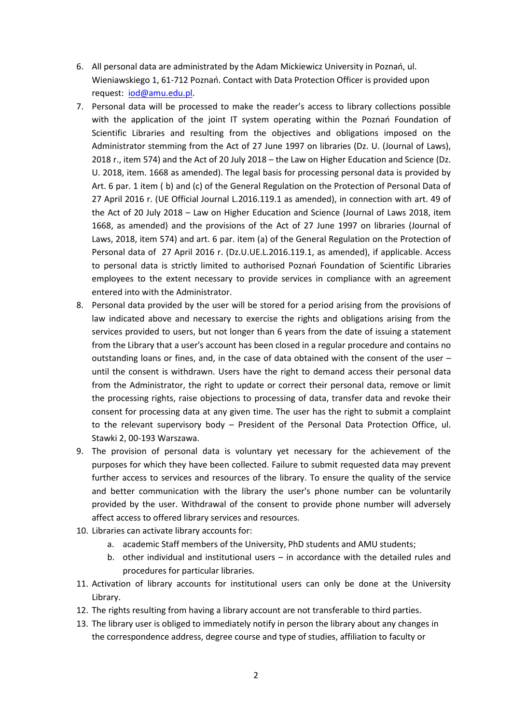- 6. All personal data are administrated by the Adam Mickiewicz University in Poznań, ul. Wieniawskiego 1, 61-712 Poznań. Contact with Data Protection Officer is provided upon request: [iod@amu.edu.pl.](mailto:iod@amu.edu.pl)
- 7. Personal data will be processed to make the reader's access to library collections possible with the application of the joint IT system operating within the Poznań Foundation of Scientific Libraries and resulting from the objectives and obligations imposed on the Administrator stemming from the Act of 27 June 1997 on libraries (Dz. U. (Journal of Laws), 2018 r., item 574) and the Act of 20 July 2018 – the Law on Higher Education and Science (Dz. U. 2018, item. 1668 as amended). The legal basis for processing personal data is provided by Art. 6 par. 1 item ( b) and (c) of the General Regulation on the Protection of Personal Data of 27 April 2016 r. (UE Official Journal L.2016.119.1 as amended), in connection with art. 49 of the Act of 20 July 2018 – Law on Higher Education and Science (Journal of Laws 2018, item 1668, as amended) and the provisions of the Act of 27 June 1997 on libraries (Journal of Laws, 2018, item 574) and art. 6 par. item (a) of the General Regulation on the Protection of Personal data of 27 April 2016 r. (Dz.U.UE.L.2016.119.1, as amended), if applicable. Access to personal data is strictly limited to authorised Poznań Foundation of Scientific Libraries employees to the extent necessary to provide services in compliance with an agreement entered into with the Administrator.
- 8. Personal data provided by the user will be stored for a period arising from the provisions of law indicated above and necessary to exercise the rights and obligations arising from the services provided to users, but not longer than 6 years from the date of issuing a statement from the Library that a user's account has been closed in a regular procedure and contains no outstanding loans or fines, and, in the case of data obtained with the consent of the user – until the consent is withdrawn. Users have the right to demand access their personal data from the Administrator, the right to update or correct their personal data, remove or limit the processing rights, raise objections to processing of data, transfer data and revoke their consent for processing data at any given time. The user has the right to submit a complaint to the relevant supervisory body – President of the Personal Data Protection Office, ul. Stawki 2, 00-193 Warszawa.
- 9. The provision of personal data is voluntary yet necessary for the achievement of the purposes for which they have been collected. Failure to submit requested data may prevent further access to services and resources of the library. To ensure the quality of the service and better communication with the library the user's phone number can be voluntarily provided by the user. Withdrawal of the consent to provide phone number will adversely affect access to offered library services and resources.
- 10. Libraries can activate library accounts for:
	- a. academic Staff members of the University, PhD students and AMU students;
	- b. other individual and institutional users in accordance with the detailed rules and procedures for particular libraries.
- 11. Activation of library accounts for institutional users can only be done at the University Library.
- 12. The rights resulting from having a library account are not transferable to third parties.
- 13. The library user is obliged to immediately notify in person the library about any changes in the correspondence address, degree course and type of studies, affiliation to faculty or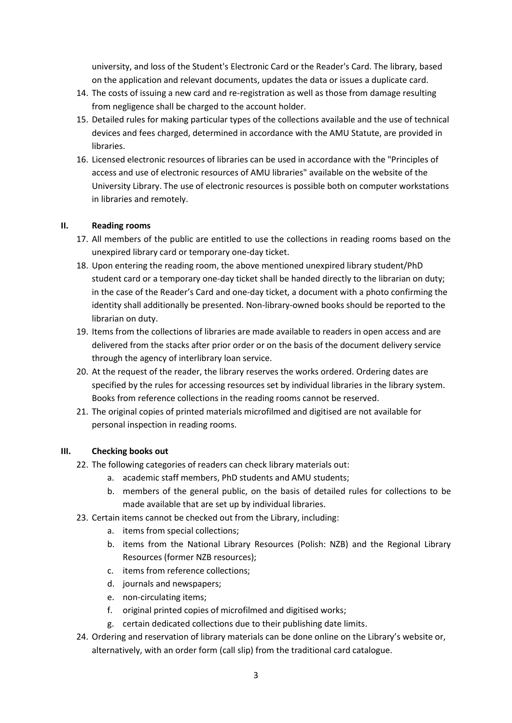university, and loss of the Student's Electronic Card or the Reader's Card. The library, based on the application and relevant documents, updates the data or issues a duplicate card.

- 14. The costs of issuing a new card and re-registration as well as those from damage resulting from negligence shall be charged to the account holder.
- 15. Detailed rules for making particular types of the collections available and the use of technical devices and fees charged, determined in accordance with the AMU Statute, are provided in libraries.
- 16. Licensed electronic resources of libraries can be used in accordance with the "Principles of access and use of electronic resources of AMU libraries" available on the website of the University Library. The use of electronic resources is possible both on computer workstations in libraries and remotely.

# **II. Reading rooms**

- 17. All members of the public are entitled to use the collections in reading rooms based on the unexpired library card or temporary one-day ticket.
- 18. Upon entering the reading room, the above mentioned unexpired library student/PhD student card or a temporary one-day ticket shall be handed directly to the librarian on duty; in the case of the Reader's Card and one-day ticket, a document with a photo confirming the identity shall additionally be presented. Non-library-owned books should be reported to the librarian on duty.
- 19. Items from the collections of libraries are made available to readers in open access and are delivered from the stacks after prior order or on the basis of the document delivery service through the agency of interlibrary loan service.
- 20. At the request of the reader, the library reserves the works ordered. Ordering dates are specified by the rules for accessing resources set by individual libraries in the library system. Books from reference collections in the reading rooms cannot be reserved.
- 21. The original copies of printed materials microfilmed and digitised are not available for personal inspection in reading rooms.

#### **III. Checking books out**

- 22. The following categories of readers can check library materials out:
	- a. academic staff members, PhD students and AMU students;
	- b. members of the general public, on the basis of detailed rules for collections to be made available that are set up by individual libraries.
- 23. Certain items cannot be checked out from the Library, including:
	- a. items from special collections;
	- b. items from the National Library Resources (Polish: NZB) and the Regional Library Resources (former NZB resources);
	- c. items from reference collections;
	- d. journals and newspapers;
	- e. non-circulating items;
	- f. original printed copies of microfilmed and digitised works;
	- g. certain dedicated collections due to their publishing date limits.
- 24. Ordering and reservation of library materials can be done online on the Library's website or, alternatively, with an order form (call slip) from the traditional card catalogue.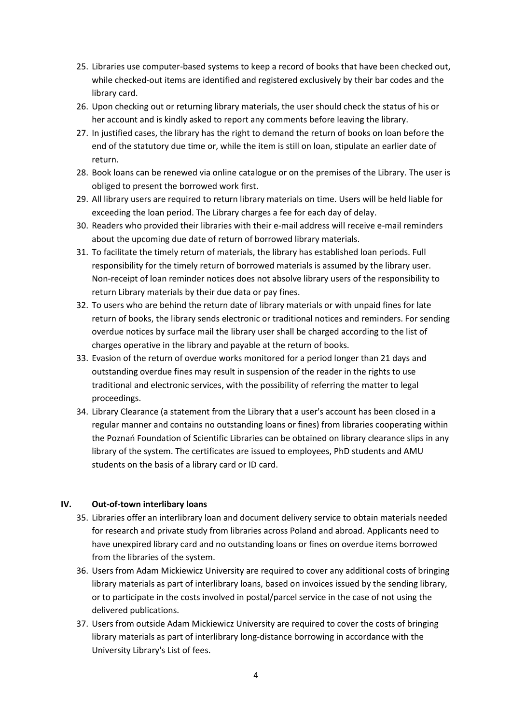- 25. Libraries use computer-based systems to keep a record of books that have been checked out, while checked-out items are identified and registered exclusively by their bar codes and the library card.
- 26. Upon checking out or returning library materials, the user should check the status of his or her account and is kindly asked to report any comments before leaving the library.
- 27. In justified cases, the library has the right to demand the return of books on loan before the end of the statutory due time or, while the item is still on loan, stipulate an earlier date of return.
- 28. Book loans can be renewed via online catalogue or on the premises of the Library. The user is obliged to present the borrowed work first.
- 29. All library users are required to return library materials on time. Users will be held liable for exceeding the loan period. The Library charges a fee for each day of delay.
- 30. Readers who provided their libraries with their e-mail address will receive e-mail reminders about the upcoming due date of return of borrowed library materials.
- 31. To facilitate the timely return of materials, the library has established loan periods. Full responsibility for the timely return of borrowed materials is assumed by the library user. Non-receipt of loan reminder notices does not absolve library users of the responsibility to return Library materials by their due data or pay fines.
- 32. To users who are behind the return date of library materials or with unpaid fines for late return of books, the library sends electronic or traditional notices and reminders. For sending overdue notices by surface mail the library user shall be charged according to the list of charges operative in the library and payable at the return of books.
- 33. Evasion of the return of overdue works monitored for a period longer than 21 days and outstanding overdue fines may result in suspension of the reader in the rights to use traditional and electronic services, with the possibility of referring the matter to legal proceedings.
- 34. Library Clearance (a statement from the Library that a user's account has been closed in a regular manner and contains no outstanding loans or fines) from libraries cooperating within the Poznań Foundation of Scientific Libraries can be obtained on library clearance slips in any library of the system. The certificates are issued to employees, PhD students and AMU students on the basis of a library card or ID card.

# **IV. Out-of-town interlibary loans**

- 35. Libraries offer an interlibrary loan and document delivery service to obtain materials needed for research and private study from libraries across Poland and abroad. Applicants need to have unexpired library card and no outstanding loans or fines on overdue items borrowed from the libraries of the system.
- 36. Users from Adam Mickiewicz University are required to cover any additional costs of bringing library materials as part of interlibrary loans, based on invoices issued by the sending library, or to participate in the costs involved in postal/parcel service in the case of not using the delivered publications.
- 37. Users from outside Adam Mickiewicz University are required to cover the costs of bringing library materials as part of interlibrary long-distance borrowing in accordance with the University Library's List of fees.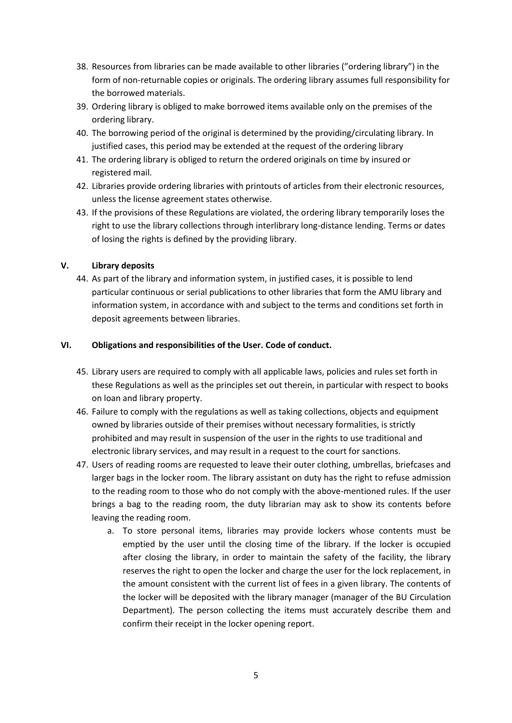- 38. Resources from libraries can be made available to other libraries ("ordering library") in the form of non-returnable copies or originals. The ordering library assumes full responsibility for the borrowed materials.
- 39. Ordering library is obliged to make borrowed items available only on the premises of the ordering library.
- 40. The borrowing period of the original is determined by the providing/circulating library. In justified cases, this period may be extended at the request of the ordering library
- 41. The ordering library is obliged to return the ordered originals on time by insured or registered mail.
- 42. Libraries provide ordering libraries with printouts of articles from their electronic resources, unless the license agreement states otherwise.
- 43. If the provisions of these Regulations are violated, the ordering library temporarily loses the right to use the library collections through interlibrary long-distance lending. Terms or dates of losing the rights is defined by the providing library.

### **V. Library deposits**

44. As part of the library and information system, in justified cases, it is possible to lend particular continuous or serial publications to other libraries that form the AMU library and information system, in accordance with and subject to the terms and conditions set forth in deposit agreements between libraries.

### **VI. Obligations and responsibilities of the User. Code of conduct.**

- 45. Library users are required to comply with all applicable laws, policies and rules set forth in these Regulations as well as the principles set out therein, in particular with respect to books on loan and library property.
- 46. Failure to comply with the regulations as well as taking collections, objects and equipment owned by libraries outside of their premises without necessary formalities, is strictly prohibited and may result in suspension of the user in the rights to use traditional and electronic library services, and may result in a request to the court for sanctions.
- 47. Users of reading rooms are requested to leave their outer clothing, umbrellas, briefcases and larger bags in the locker room. The library assistant on duty has the right to refuse admission to the reading room to those who do not comply with the above-mentioned rules. If the user brings a bag to the reading room, the duty librarian may ask to show its contents before leaving the reading room.
	- a. To store personal items, libraries may provide lockers whose contents must be emptied by the user until the closing time of the library. If the locker is occupied after closing the library, in order to maintain the safety of the facility, the library reserves the right to open the locker and charge the user for the lock replacement, in the amount consistent with the current list of fees in a given library. The contents of the locker will be deposited with the library manager (manager of the BU Circulation Department). The person collecting the items must accurately describe them and confirm their receipt in the locker opening report.